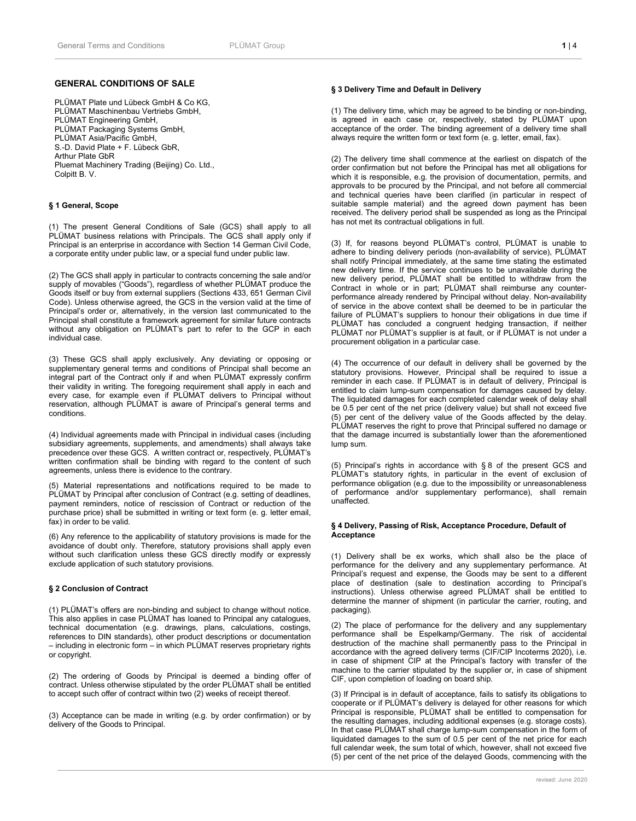# **GENERAL CONDITIONS OF SALE**

PLÜMAT Plate und Lübeck GmbH & Co KG, PLÜMAT Maschinenbau Vertriebs GmbH, PLÜMAT Engineering GmbH, PLÜMAT Packaging Systems GmbH, PLÜMAT Asia/Pacific GmbH, S.-D. David Plate + F. Lübeck GbR, Arthur Plate GbR Pluemat Machinery Trading (Beijing) Co. Ltd., Colpitt B. V.

# **§ 1 General, Scope**

(1) The present General Conditions of Sale (GCS) shall apply to all PLÜMAT business relations with Principals. The GCS shall apply only if Principal is an enterprise in accordance with Section 14 German Civil Code, a corporate entity under public law, or a special fund under public law.

(2) The GCS shall apply in particular to contracts concerning the sale and/or supply of movables ("Goods"), regardless of whether PLÜMAT produce the Goods itself or buy from external suppliers (Sections 433, 651 German Civil Code). Unless otherwise agreed, the GCS in the version valid at the time of Principal's order or, alternatively, in the version last communicated to the Principal shall constitute a framework agreement for similar future contracts without any obligation on PLÜMAT's part to refer to the GCP in each individual case.

(3) These GCS shall apply exclusively. Any deviating or opposing or supplementary general terms and conditions of Principal shall become an integral part of the Contract only if and when PLÜMAT expressly confirm their validity in writing. The foregoing requirement shall apply in each and every case, for example even if PLÜMAT delivers to Principal without reservation, although PLÜMAT is aware of Principal's general terms and conditions.

(4) Individual agreements made with Principal in individual cases (including subsidiary agreements, supplements, and amendments) shall always take precedence over these GCS. A written contract or, respectively, PLÜMAT's written confirmation shall be binding with regard to the content of such agreements, unless there is evidence to the contrary.

(5) Material representations and notifications required to be made to PLÜMAT by Principal after conclusion of Contract (e.g. setting of deadlines, payment reminders, notice of rescission of Contract or reduction of the purchase price) shall be submitted in writing or text form (e. g. letter email, fax) in order to be valid.

(6) Any reference to the applicability of statutory provisions is made for the avoidance of doubt only. Therefore, statutory provisions shall apply even without such clarification unless these GCS directly modify or expressly exclude application of such statutory provisions.

#### **§ 2 Conclusion of Contract**

(1) PLÜMAT's offers are non-binding and subject to change without notice. This also applies in case PLÜMAT has loaned to Principal any catalogues, technical documentation (e.g. drawings, plans, calculations, costings, references to DIN standards), other product descriptions or documentation – including in electronic form – in which PLÜMAT reserves proprietary rights or copyright.

(2) The ordering of Goods by Principal is deemed a binding offer of contract. Unless otherwise stipulated by the order PLÜMAT shall be entitled to accept such offer of contract within two (2) weeks of receipt thereof.

(3) Acceptance can be made in writing (e.g. by order confirmation) or by delivery of the Goods to Principal.

## **§ 3 Delivery Time and Default in Delivery**

(1) The delivery time, which may be agreed to be binding or non-binding, is agreed in each case or, respectively, stated by PLÜMAT upon acceptance of the order. The binding agreement of a delivery time shall always require the written form or text form (e. g. letter, email, fax).

(2) The delivery time shall commence at the earliest on dispatch of the order confirmation but not before the Principal has met all obligations for which it is responsible, e.g. the provision of documentation, permits, and approvals to be procured by the Principal, and not before all commercial and technical queries have been clarified (in particular in respect of suitable sample material) and the agreed down payment has been received. The delivery period shall be suspended as long as the Principal has not met its contractual obligations in full.

(3) If, for reasons beyond PLÜMAT's control, PLÜMAT is unable to adhere to binding delivery periods (non-availability of service), PLÜMAT shall notify Principal immediately, at the same time stating the estimated new delivery time. If the service continues to be unavailable during the new delivery period, PLÜMAT shall be entitled to withdraw from the Contract in whole or in part; PLÜMAT shall reimburse any counterperformance already rendered by Principal without delay. Non-availability of service in the above context shall be deemed to be in particular the failure of PLÜMAT's suppliers to honour their obligations in due time if PLÜMAT has concluded a congruent hedging transaction, if neither PLÜMAT nor PLÜMAT's supplier is at fault, or if PLÜMAT is not under a procurement obligation in a particular case.

(4) The occurrence of our default in delivery shall be governed by the statutory provisions. However, Principal shall be required to issue a reminder in each case. If PLÜMAT is in default of delivery, Principal is entitled to claim lump-sum compensation for damages caused by delay. The liquidated damages for each completed calendar week of delay shall be 0.5 per cent of the net price (delivery value) but shall not exceed five (5) per cent of the delivery value of the Goods affected by the delay. PLÜMAT reserves the right to prove that Principal suffered no damage or that the damage incurred is substantially lower than the aforementioned lump sum.

(5) Principal's rights in accordance with § 8 of the present GCS and PLÜMAT's statutory rights, in particular in the event of exclusion of performance obligation (e.g. due to the impossibility or unreasonableness of performance and/or supplementary performance), shall remain unaffected.

#### **§ 4 Delivery, Passing of Risk, Acceptance Procedure, Default of Acceptance**

(1) Delivery shall be ex works, which shall also be the place of performance for the delivery and any supplementary performance. At Principal's request and expense, the Goods may be sent to a different place of destination (sale to destination according to Principal's instructions). Unless otherwise agreed PLÜMAT shall be entitled to determine the manner of shipment (in particular the carrier, routing, and packaging).

(2) The place of performance for the delivery and any supplementary performance shall be Espelkamp/Germany. The risk of accidental destruction of the machine shall permanently pass to the Principal in accordance with the agreed delivery terms (CIF/CIP Incoterms 2020), i.e. in case of shipment CIP at the Principal's factory with transfer of the machine to the carrier stipulated by the supplier or, in case of shipment CIF, upon completion of loading on board ship.

(3) If Principal is in default of acceptance, fails to satisfy its obligations to cooperate or if PLÜMAT's delivery is delayed for other reasons for which Principal is responsible, PLÜMAT shall be entitled to compensation for the resulting damages, including additional expenses (e.g. storage costs). In that case PLÜMAT shall charge lump-sum compensation in the form of liquidated damages to the sum of 0.5 per cent of the net price for each full calendar week, the sum total of which, however, shall not exceed five (5) per cent of the net price of the delayed Goods, commencing with the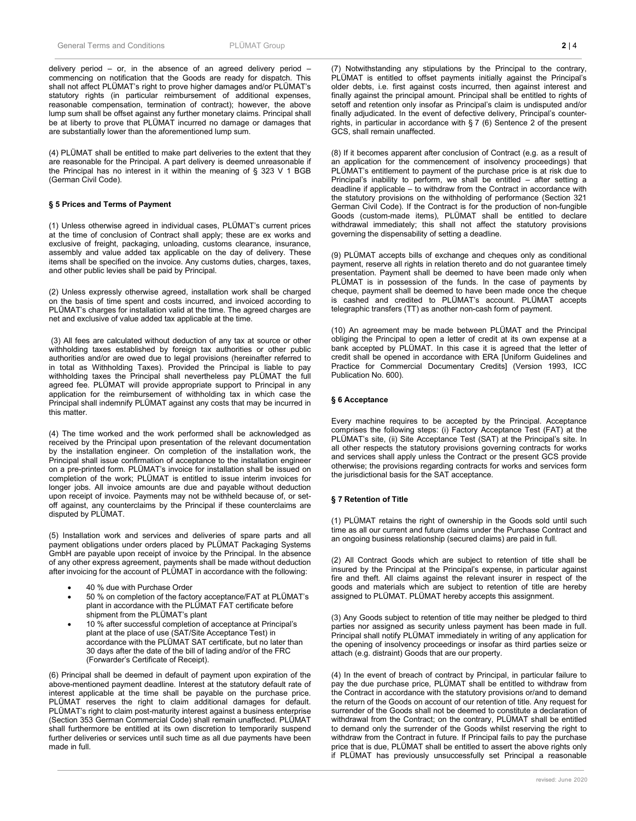delivery period – or, in the absence of an agreed delivery period – commencing on notification that the Goods are ready for dispatch. This shall not affect PLÜMAT's right to prove higher damages and/or PLÜMAT's statutory rights (in particular reimbursement of additional expenses, reasonable compensation, termination of contract); however, the above lump sum shall be offset against any further monetary claims. Principal shall be at liberty to prove that PLÜMAT incurred no damage or damages that are substantially lower than the aforementioned lump sum.

(4) PLÜMAT shall be entitled to make part deliveries to the extent that they are reasonable for the Principal. A part delivery is deemed unreasonable if the Principal has no interest in it within the meaning of § 323 V 1 BGB (German Civil Code).

#### **§ 5 Prices and Terms of Payment**

(1) Unless otherwise agreed in individual cases, PLÜMAT's current prices at the time of conclusion of Contract shall apply; these are ex works and exclusive of freight, packaging, unloading, customs clearance, insurance, assembly and value added tax applicable on the day of delivery. These items shall be specified on the invoice. Any customs duties, charges, taxes, and other public levies shall be paid by Principal.

(2) Unless expressly otherwise agreed, installation work shall be charged on the basis of time spent and costs incurred, and invoiced according to PLÜMAT's charges for installation valid at the time. The agreed charges are net and exclusive of value added tax applicable at the time.

(3) All fees are calculated without deduction of any tax at source or other withholding taxes established by foreign tax authorities or other public authorities and/or are owed due to legal provisions (hereinafter referred to in total as Withholding Taxes). Provided the Principal is liable to pay withholding taxes the Principal shall nevertheless pay PLÜMAT the full agreed fee. PLÜMAT will provide appropriate support to Principal in any application for the reimbursement of withholding tax in which case the Principal shall indemnify PLÜMAT against any costs that may be incurred in this matter.

(4) The time worked and the work performed shall be acknowledged as received by the Principal upon presentation of the relevant documentation by the installation engineer. On completion of the installation work, the Principal shall issue confirmation of acceptance to the installation engineer on a pre-printed form. PLÜMAT's invoice for installation shall be issued on completion of the work; PLÜMAT is entitled to issue interim invoices for longer jobs. All invoice amounts are due and payable without deduction upon receipt of invoice. Payments may not be withheld because of, or setoff against, any counterclaims by the Principal if these counterclaims are disputed by PLÜMAT.

(5) Installation work and services and deliveries of spare parts and all payment obligations under orders placed by PLÜMAT Packaging Systems GmbH are payable upon receipt of invoice by the Principal. In the absence of any other express agreement, payments shall be made without deduction after invoicing for the account of PLÜMAT in accordance with the following:

- 40 % due with Purchase Order
- 50 % on completion of the factory acceptance/FAT at PLÜMAT's plant in accordance with the PLÜMAT FAT certificate before shipment from the PLÜMAT's plant
- 10 % after successful completion of acceptance at Principal's plant at the place of use (SAT/Site Acceptance Test) in accordance with the PLÜMAT SAT certificate, but no later than 30 days after the date of the bill of lading and/or of the FRC (Forwarder's Certificate of Receipt).

(6) Principal shall be deemed in default of payment upon expiration of the above-mentioned payment deadline. Interest at the statutory default rate of interest applicable at the time shall be payable on the purchase price. PLÜMAT reserves the right to claim additional damages for default. PLÜMAT's right to claim post-maturity interest against a business enterprise (Section 353 German Commercial Code) shall remain unaffected. PLÜMAT shall furthermore be entitled at its own discretion to temporarily suspend further deliveries or services until such time as all due payments have been made in full.

(7) Notwithstanding any stipulations by the Principal to the contrary, PLÜMAT is entitled to offset payments initially against the Principal's older debts, i.e. first against costs incurred, then against interest and finally against the principal amount. Principal shall be entitled to rights of setoff and retention only insofar as Principal's claim is undisputed and/or finally adjudicated. In the event of defective delivery, Principal's counterrights, in particular in accordance with  $\S 7$  (6) Sentence 2 of the present GCS, shall remain unaffected.

(8) If it becomes apparent after conclusion of Contract (e.g. as a result of an application for the commencement of insolvency proceedings) that PLÜMAT's entitlement to payment of the purchase price is at risk due to Principal's inability to perform, we shall be entitled – after setting a deadline if applicable – to withdraw from the Contract in accordance with the statutory provisions on the withholding of performance (Section 321 German Civil Code). If the Contract is for the production of non-fungible Goods (custom-made items), PLÜMAT shall be entitled to declare withdrawal immediately; this shall not affect the statutory provisions governing the dispensability of setting a deadline.

(9) PLÜMAT accepts bills of exchange and cheques only as conditional payment, reserve all rights in relation thereto and do not guarantee timely presentation. Payment shall be deemed to have been made only when PLÜMAT is in possession of the funds. In the case of payments by cheque, payment shall be deemed to have been made once the cheque is cashed and credited to PLÜMAT's account. PLÜMAT accepts telegraphic transfers (TT) as another non-cash form of payment.

(10) An agreement may be made between PLÜMAT and the Principal obliging the Principal to open a letter of credit at its own expense at a bank accepted by PLÜMAT. In this case it is agreed that the letter of credit shall be opened in accordance with ERA [Uniform Guidelines and Practice for Commercial Documentary Credits] (Version 1993, ICC Publication No. 600).

## **§ 6 Acceptance**

Every machine requires to be accepted by the Principal. Acceptance comprises the following steps: (i) Factory Acceptance Test (FAT) at the PLÜMAT's site, (ii) Site Acceptance Test (SAT) at the Principal's site. In all other respects the statutory provisions governing contracts for works and services shall apply unless the Contract or the present GCS provide otherwise; the provisions regarding contracts for works and services form the jurisdictional basis for the SAT acceptance.

## **§ 7 Retention of Title**

(1) PLÜMAT retains the right of ownership in the Goods sold until such time as all our current and future claims under the Purchase Contract and an ongoing business relationship (secured claims) are paid in full.

(2) All Contract Goods which are subject to retention of title shall be insured by the Principal at the Principal's expense, in particular against fire and theft. All claims against the relevant insurer in respect of the goods and materials which are subject to retention of title are hereby assigned to PLÜMAT. PLÜMAT hereby accepts this assignment.

(3) Any Goods subject to retention of title may neither be pledged to third parties nor assigned as security unless payment has been made in full. Principal shall notify PLÜMAT immediately in writing of any application for the opening of insolvency proceedings or insofar as third parties seize or attach (e.g. distraint) Goods that are our property.

(4) In the event of breach of contract by Principal, in particular failure to pay the due purchase price, PLÜMAT shall be entitled to withdraw from the Contract in accordance with the statutory provisions or/and to demand the return of the Goods on account of our retention of title. Any request for surrender of the Goods shall not be deemed to constitute a declaration of withdrawal from the Contract; on the contrary, PLÜMAT shall be entitled to demand only the surrender of the Goods whilst reserving the right to withdraw from the Contract in future. If Principal fails to pay the purchase price that is due, PLÜMAT shall be entitled to assert the above rights only if PLÜMAT has previously unsuccessfully set Principal a reasonable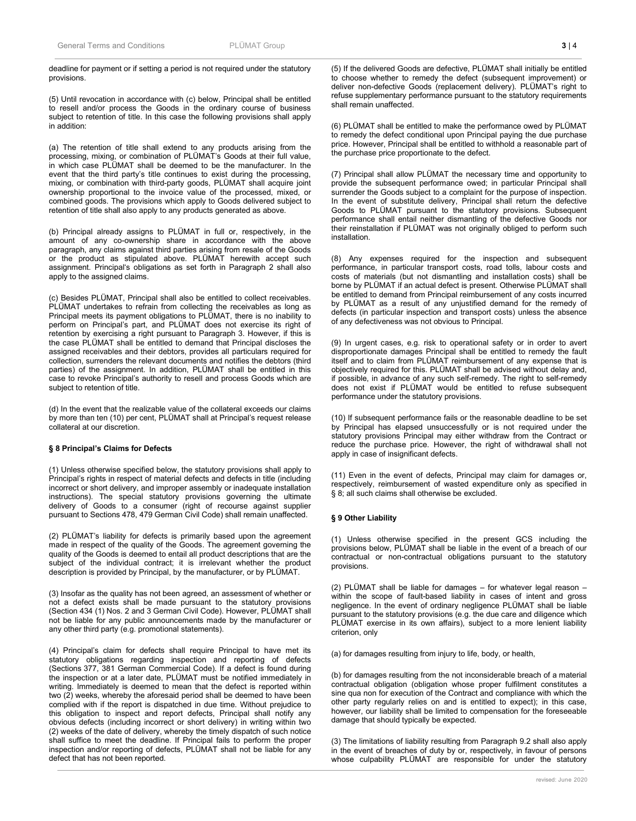## deadline for payment or if setting a period is not required under the statutory provisions.

(5) Until revocation in accordance with (c) below, Principal shall be entitled to resell and/or process the Goods in the ordinary course of business subject to retention of title. In this case the following provisions shall apply in addition:

(a) The retention of title shall extend to any products arising from the processing, mixing, or combination of PLÜMAT's Goods at their full value, in which case PLÜMAT shall be deemed to be the manufacturer. In the event that the third party's title continues to exist during the processing, mixing, or combination with third-party goods, PLÜMAT shall acquire joint ownership proportional to the invoice value of the processed, mixed, or combined goods. The provisions which apply to Goods delivered subject to retention of title shall also apply to any products generated as above.

(b) Principal already assigns to PLÜMAT in full or, respectively, in the amount of any co-ownership share in accordance with the above paragraph, any claims against third parties arising from resale of the Goods or the product as stipulated above. PLÜMAT herewith accept such assignment. Principal's obligations as set forth in Paragraph 2 shall also apply to the assigned claims.

(c) Besides PLÜMAT, Principal shall also be entitled to collect receivables. PLÜMAT undertakes to refrain from collecting the receivables as long as Principal meets its payment obligations to PLÜMAT, there is no inability to perform on Principal's part, and PLÜMAT does not exercise its right of retention by exercising a right pursuant to Paragraph 3. However, if this is the case PLÜMAT shall be entitled to demand that Principal discloses the assigned receivables and their debtors, provides all particulars required for collection, surrenders the relevant documents and notifies the debtors (third parties) of the assignment. In addition, PLÜMAT shall be entitled in this case to revoke Principal's authority to resell and process Goods which are subject to retention of title.

(d) In the event that the realizable value of the collateral exceeds our claims by more than ten (10) per cent, PLÜMAT shall at Principal's request release collateral at our discretion.

# **§ 8 Principal's Claims for Defects**

(1) Unless otherwise specified below, the statutory provisions shall apply to Principal's rights in respect of material defects and defects in title (including incorrect or short delivery, and improper assembly or inadequate installation instructions). The special statutory provisions governing the ultimate delivery of Goods to a consumer (right of recourse against supplier pursuant to Sections 478, 479 German Civil Code) shall remain unaffected.

(2) PLÜMAT's liability for defects is primarily based upon the agreement made in respect of the quality of the Goods. The agreement governing the quality of the Goods is deemed to entail all product descriptions that are the subject of the individual contract; it is irrelevant whether the product description is provided by Principal, by the manufacturer, or by PLÜMAT.

(3) Insofar as the quality has not been agreed, an assessment of whether or not a defect exists shall be made pursuant to the statutory provisions (Section 434 (1) Nos. 2 and 3 German Civil Code). However, PLÜMAT shall not be liable for any public announcements made by the manufacturer or any other third party (e.g. promotional statements).

(4) Principal's claim for defects shall require Principal to have met its statutory obligations regarding inspection and reporting of defects (Sections 377, 381 German Commercial Code). If a defect is found during the inspection or at a later date, PLÜMAT must be notified immediately in writing. Immediately is deemed to mean that the defect is reported within two (2) weeks, whereby the aforesaid period shall be deemed to have been complied with if the report is dispatched in due time. Without prejudice to this obligation to inspect and report defects, Principal shall notify any obvious defects (including incorrect or short delivery) in writing within two (2) weeks of the date of delivery, whereby the timely dispatch of such notice shall suffice to meet the deadline. If Principal fails to perform the proper inspection and/or reporting of defects, PLÜMAT shall not be liable for any defect that has not been reported.

(5) If the delivered Goods are defective, PLÜMAT shall initially be entitled to choose whether to remedy the defect (subsequent improvement) or deliver non-defective Goods (replacement delivery). PLÜMAT's right to refuse supplementary performance pursuant to the statutory requirements shall remain unaffected.

(6) PLÜMAT shall be entitled to make the performance owed by PLÜMAT to remedy the defect conditional upon Principal paying the due purchase price. However, Principal shall be entitled to withhold a reasonable part of the purchase price proportionate to the defect.

(7) Principal shall allow PLÜMAT the necessary time and opportunity to provide the subsequent performance owed; in particular Principal shall surrender the Goods subject to a complaint for the purpose of inspection. In the event of substitute delivery, Principal shall return the defective Goods to PLÜMAT pursuant to the statutory provisions. Subsequent performance shall entail neither dismantling of the defective Goods nor their reinstallation if PLÜMAT was not originally obliged to perform such installation.

(8) Any expenses required for the inspection and subsequent performance, in particular transport costs, road tolls, labour costs and costs of materials (but not dismantling and installation costs) shall be borne by PLÜMAT if an actual defect is present. Otherwise PLÜMAT shall be entitled to demand from Principal reimbursement of any costs incurred by PLÜMAT as a result of any unjustified demand for the remedy of defects (in particular inspection and transport costs) unless the absence of any defectiveness was not obvious to Principal.

(9) In urgent cases, e.g. risk to operational safety or in order to avert disproportionate damages Principal shall be entitled to remedy the fault itself and to claim from PLÜMAT reimbursement of any expense that is objectively required for this. PLÜMAT shall be advised without delay and, if possible, in advance of any such self-remedy. The right to self-remedy does not exist if PLÜMAT would be entitled to refuse subsequent performance under the statutory provisions.

(10) If subsequent performance fails or the reasonable deadline to be set by Principal has elapsed unsuccessfully or is not required under the statutory provisions Principal may either withdraw from the Contract or reduce the purchase price. However, the right of withdrawal shall not apply in case of insignificant defects.

(11) Even in the event of defects, Principal may claim for damages or, respectively, reimbursement of wasted expenditure only as specified in § 8; all such claims shall otherwise be excluded.

### **§ 9 Other Liability**

(1) Unless otherwise specified in the present GCS including the provisions below, PLÜMAT shall be liable in the event of a breach of our contractual or non-contractual obligations pursuant to the statutory provisions.

(2) PLÜMAT shall be liable for damages – for whatever legal reason – within the scope of fault-based liability in cases of intent and gross negligence. In the event of ordinary negligence PLÜMAT shall be liable pursuant to the statutory provisions (e.g. the due care and diligence which PLÜMAT exercise in its own affairs), subject to a more lenient liability criterion, only

(a) for damages resulting from injury to life, body, or health,

(b) for damages resulting from the not inconsiderable breach of a material contractual obligation (obligation whose proper fulfilment constitutes a sine qua non for execution of the Contract and compliance with which the other party regularly relies on and is entitled to expect); in this case, however, our liability shall be limited to compensation for the foreseeable damage that should typically be expected.

(3) The limitations of liability resulting from Paragraph 9.2 shall also apply in the event of breaches of duty by or, respectively, in favour of persons whose culpability PLÜMAT are responsible for under the statutory